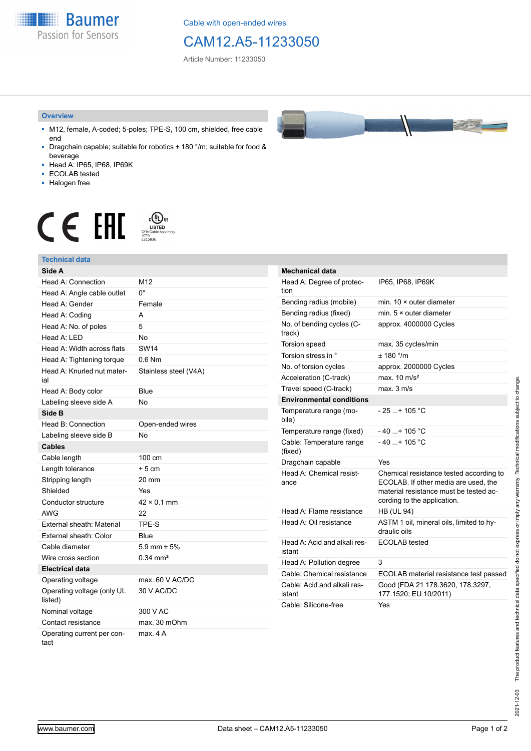**Baumer** Passion for Sensors

Cable with open-ended wires

## CAM12.A5-11233050

Article Number: 11233050

#### **Overview**

- M12, female, A-coded; 5-poles; TPE-S, 100 cm, shielded, free cable end
- Dragchain capable; suitable for robotics ± 180 °/m; suitable for food & beverage
- Head A: IP65, IP68, IP69K
- ECOLAB tested
- Halogen free

# $\displaystyle \mathop{\mathsf{C}}\limits_{\substack{\mathsf{C} \text{YJV Cable Asser}\ \text{47YY} \ \text{47YY}}} \mathop{\mathsf{LISTED}}\limits_{\substack{\mathsf{C} \text{47YY} \ \text{E}315836}}$ **CE EAL**

### **Technical data**

| Side A                                |                       |
|---------------------------------------|-----------------------|
| Head A: Connection                    | M12                   |
| Head A: Angle cable outlet            | U.                    |
| Head A: Gender                        | Female                |
| Head A: Coding                        | A                     |
| Head A: No. of poles                  | 5                     |
| Head $A \cdot IFD$                    | N <sub>0</sub>        |
| Head A: Width across flats            | <b>SW14</b>           |
| Head A: Tightening torque             | 0.6 Nm                |
| Head A: Knurled nut mater-<br>ial     | Stainless steel (V4A) |
| Head A: Body color                    | Blue                  |
| Labeling sleeve side A                | No                    |
| Side B                                |                       |
| Head B: Connection                    | Open-ended wires      |
| Labeling sleeve side B                | <b>No</b>             |
| <b>Cables</b>                         |                       |
| Cable length                          | 100 cm                |
| Length tolerance                      | $+5cm$                |
| Stripping length                      | 20 mm                 |
| Shielded                              | Yes                   |
| Conductor structure                   | $42 \times 0.1$ mm    |
| AWG                                   | 22                    |
| External sheath: Material             | TPE-S                 |
| External sheath: Color                | Blue                  |
| Cable diameter                        | 5.9 mm $\pm$ 5%       |
| Wire cross section                    | $0.34 \, \text{mm}^2$ |
| <b>Electrical data</b>                |                       |
| Operating voltage                     | max. 60 V AC/DC       |
| Operating voltage (only UL<br>listed) | 30 V AC/DC            |
| Nominal voltage                       | 300 V AC              |
| Contact resistance                    | max. 30 mOhm          |
| Operating current per con-<br>tact    | max. 4 A              |



| <b>Mechanical data</b>                 |                                                                                                                                                          |
|----------------------------------------|----------------------------------------------------------------------------------------------------------------------------------------------------------|
| Head A: Degree of protec-<br>tion      | IP65, IP68, IP69K                                                                                                                                        |
| Bending radius (mobile)                | min. $10 \times$ outer diameter                                                                                                                          |
| Bending radius (fixed)                 | min. $5 \times$ outer diameter                                                                                                                           |
| No. of bending cycles (C-<br>track)    | approx. 4000000 Cycles                                                                                                                                   |
| Torsion speed                          | max. 35 cycles/min                                                                                                                                       |
| Torsion stress in °                    | $+ 180$ $^{\circ}$ /m                                                                                                                                    |
| No. of torsion cycles                  | approx. 2000000 Cycles                                                                                                                                   |
| Acceleration (C-track)                 | max $10 \text{ m/s}^2$                                                                                                                                   |
| Travel speed (C-track)                 | max. 3 m/s                                                                                                                                               |
| <b>Environmental conditions</b>        |                                                                                                                                                          |
| Temperature range (mo-<br>bile)        | - 25 + 105 °C                                                                                                                                            |
| Temperature range (fixed)              | -40 + 105 °C                                                                                                                                             |
| Cable: Temperature range<br>(fixed)    | - 40 + 105 °C                                                                                                                                            |
| Dragchain capable                      | Yes                                                                                                                                                      |
| Head A: Chemical resist-<br>ance       | Chemical resistance tested according to<br>ECOLAB. If other media are used, the<br>material resistance must be tested ac-<br>cording to the application. |
| Head A: Flame resistance               | <b>HB (UL 94)</b>                                                                                                                                        |
| Head A: Oil resistance                 | ASTM 1 oil, mineral oils, limited to hy-<br>draulic oils                                                                                                 |
| Head A: Acid and alkali res-<br>istant | <b>ECOLAB</b> tested                                                                                                                                     |
| Head A: Pollution degree               | 3                                                                                                                                                        |
| Cable: Chemical resistance             | ECOLAB material resistance test passed                                                                                                                   |
| Cable: Acid and alkali res-<br>istant  | Good (FDA 21 178.3620, 178.3297,<br>177.1520; EU 10/2011)                                                                                                |
| Cable: Silicone-free                   | Yes                                                                                                                                                      |